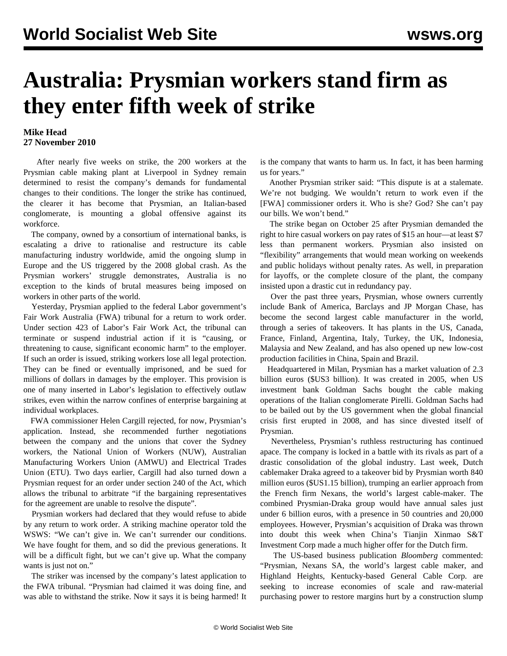## **Australia: Prysmian workers stand firm as they enter fifth week of strike**

## **Mike Head 27 November 2010**

 After nearly five weeks on strike, the 200 workers at the Prysmian cable making plant at Liverpool in Sydney remain determined to resist the company's demands for fundamental changes to their conditions. The longer the strike has continued, the clearer it has become that Prysmian, an Italian-based conglomerate, is mounting a global offensive against its workforce.

 The company, owned by a consortium of international banks, is escalating a drive to rationalise and restructure its cable manufacturing industry worldwide, amid the ongoing slump in Europe and the US triggered by the 2008 global crash. As the Prysmian workers' struggle demonstrates, Australia is no exception to the kinds of brutal measures being imposed on workers in other parts of the world.

 Yesterday, Prysmian applied to the federal Labor government's Fair Work Australia (FWA) tribunal for a return to work order. Under section 423 of Labor's Fair Work Act, the tribunal can terminate or suspend industrial action if it is "causing, or threatening to cause, significant economic harm" to the employer. If such an order is issued, striking workers lose all legal protection. They can be fined or eventually imprisoned, and be sued for millions of dollars in damages by the employer. This provision is one of many inserted in Labor's legislation to effectively outlaw strikes, even within the narrow confines of enterprise bargaining at individual workplaces.

 FWA commissioner Helen Cargill rejected, for now, Prysmian's application. Instead, she recommended further negotiations between the company and the unions that cover the Sydney workers, the National Union of Workers (NUW), Australian Manufacturing Workers Union (AMWU) and Electrical Trades Union (ETU). Two days earlier, Cargill had also turned down a Prysmian request for an order under section 240 of the Act, which allows the tribunal to arbitrate "if the bargaining representatives for the agreement are unable to resolve the dispute".

 Prysmian workers had declared that they would refuse to abide by any return to work order. A striking machine operator told the WSWS: "We can't give in. We can't surrender our conditions. We have fought for them, and so did the previous generations. It will be a difficult fight, but we can't give up. What the company wants is just not on."

 The striker was incensed by the company's latest application to the FWA tribunal. "Prysmian had claimed it was doing fine, and was able to withstand the strike. Now it says it is being harmed! It is the company that wants to harm us. In fact, it has been harming us for years."

 Another Prysmian striker said: "This dispute is at a stalemate. We're not budging. We wouldn't return to work even if the [FWA] commissioner orders it. Who is she? God? She can't pay our bills. We won't bend."

 The strike began on October 25 after Prysmian demanded the right to hire casual workers on pay rates of \$15 an hour—at least \$7 less than permanent workers. Prysmian also insisted on "flexibility" arrangements that would mean working on weekends and public holidays without penalty rates. As well, in preparation for layoffs, or the complete closure of the plant, the company insisted upon a drastic cut in redundancy pay.

 Over the past three years, Prysmian, whose owners currently include Bank of America, Barclays and JP Morgan Chase, has become the second largest cable manufacturer in the world, through a series of takeovers. It has plants in the US, Canada, France, Finland, Argentina, Italy, Turkey, the UK, Indonesia, Malaysia and New Zealand, and has also opened up new low-cost production facilities in China, Spain and Brazil.

 Headquartered in Milan, Prysmian has a market valuation of 2.3 billion euros (\$US3 billion). It was created in 2005, when US investment bank Goldman Sachs bought the cable making operations of the Italian conglomerate Pirelli. Goldman Sachs had to be bailed out by the US government when the global financial crisis first erupted in 2008, and has since divested itself of Prysmian.

 Nevertheless, Prysmian's ruthless restructuring has continued apace. The company is locked in a battle with its rivals as part of a drastic consolidation of the global industry. Last week, Dutch cablemaker Draka agreed to a takeover bid by Prysmian worth 840 million euros (\$US1.15 billion), trumping an earlier approach from the French firm Nexans, the world's largest cable-maker. The combined Prysmian-Draka group would have annual sales just under 6 billion euros, with a presence in 50 countries and 20,000 employees. However, Prysmian's acquisition of Draka was thrown into doubt this week when China's Tianjin Xinmao S&T Investment Corp made a much higher offer for the Dutch firm.

 The US-based business publication *Bloomberg* commented: "Prysmian, Nexans SA, the world's largest cable maker, and Highland Heights, Kentucky-based General Cable Corp. are seeking to increase economies of scale and raw-material purchasing power to restore margins hurt by a construction slump